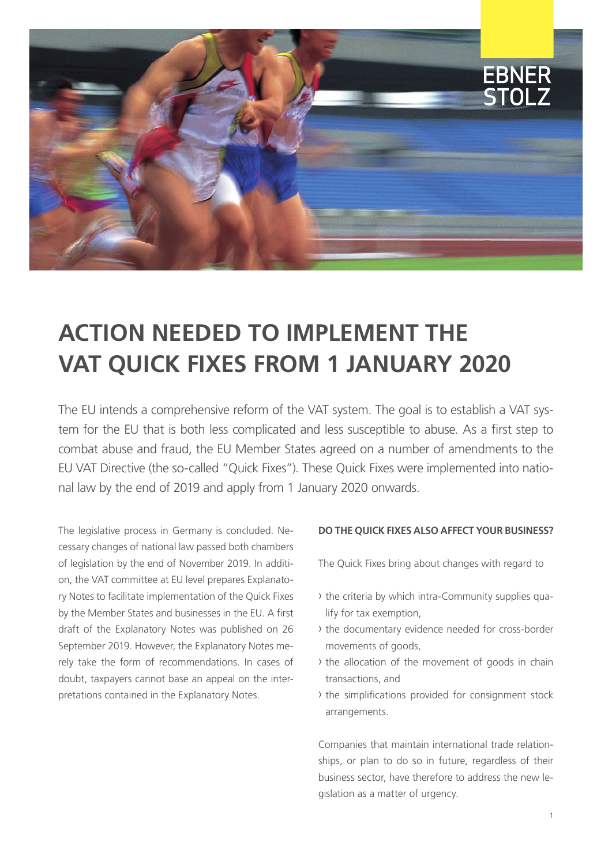

# **ACTION NEEDED TO IMPLEMENT THE VAT QUICK FIXES FROM 1 JANUARY 2020**

The EU intends a comprehensive reform of the VAT system. The goal is to establish a VAT system for the EU that is both less complicated and less susceptible to abuse. As a first step to combat abuse and fraud, the EU Member States agreed on a number of amendments to the EU VAT Directive (the so-called "Quick Fixes"). These Quick Fixes were implemented into national law by the end of 2019 and apply from 1 January 2020 onwards.

The legislative process in Germany is concluded. Necessary changes of national law passed both chambers of legislation by the end of November 2019. In addition, the VAT committee at EU level prepares Explanatory Notes to facilitate implementation of the Quick Fixes by the Member States and businesses in the EU. A first draft of the Explanatory Notes was published on 26 September 2019. However, the Explanatory Notes merely take the form of recommendations. In cases of doubt, taxpayers cannot base an appeal on the interpretations contained in the Explanatory Notes.

#### **DO THE QUICK FIXES ALSO AFFECT YOUR BUSINESS?**

The Quick Fixes bring about changes with regard to

- › the criteria by which intra-Community supplies qualify for tax exemption,
- › the documentary evidence needed for cross-border movements of goods,
- › the allocation of the movement of goods in chain transactions, and
- › the simplifications provided for consignment stock arrangements.

Companies that maintain international trade relationships, or plan to do so in future, regardless of their business sector, have therefore to address the new legislation as a matter of urgency.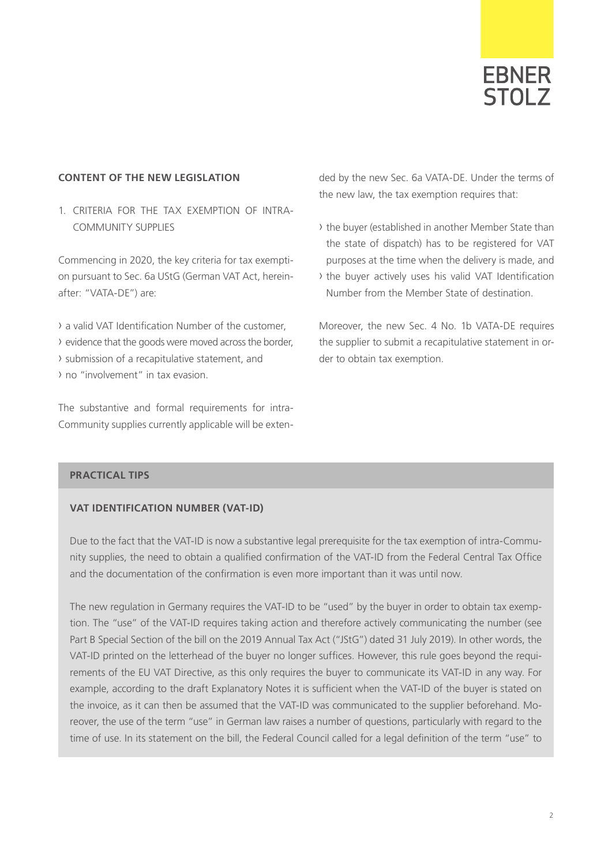

#### **CONTENT OF THE NEW LEGISLATION**

1. CRITERIA FOR THE TAX EXEMPTION OF INTRA-COMMUNITY SUPPLIES

Commencing in 2020, the key criteria for tax exemption pursuant to Sec. 6a UStG (German VAT Act, hereinafter: "VATA-DE") are:

› a valid VAT Identification Number of the customer, › evidence that the goods were moved across the border, › submission of a recapitulative statement, and

› no "involvement" in tax evasion.

The substantive and formal requirements for intra-Community supplies currently applicable will be extended by the new Sec. 6a VATA-DE. Under the terms of the new law, the tax exemption requires that:

- › the buyer (established in another Member State than the state of dispatch) has to be registered for VAT purposes at the time when the delivery is made, and
- › the buyer actively uses his valid VAT Identification Number from the Member State of destination.

Moreover, the new Sec. 4 No. 1b VATA-DE requires the supplier to submit a recapitulative statement in order to obtain tax exemption.

#### **PRACTICAL TIPS**

#### **VAT IDENTIFICATION NUMBER (VAT-ID)**

Due to the fact that the VAT-ID is now a substantive legal prerequisite for the tax exemption of intra-Community supplies, the need to obtain a qualified confirmation of the VAT-ID from the Federal Central Tax Office and the documentation of the confirmation is even more important than it was until now.

The new regulation in Germany requires the VAT-ID to be "used" by the buyer in order to obtain tax exemption. The "use" of the VAT-ID requires taking action and therefore actively communicating the number (see Part B Special Section of the bill on the 2019 Annual Tax Act ("JStG") dated 31 July 2019). In other words, the VAT-ID printed on the letterhead of the buyer no longer suffices. However, this rule goes beyond the requirements of the EU VAT Directive, as this only requires the buyer to communicate its VAT-ID in any way. For example, according to the draft Explanatory Notes it is sufficient when the VAT-ID of the buyer is stated on the invoice, as it can then be assumed that the VAT-ID was communicated to the supplier beforehand. Moreover, the use of the term "use" in German law raises a number of questions, particularly with regard to the time of use. In its statement on the bill, the Federal Council called for a legal definition of the term "use" to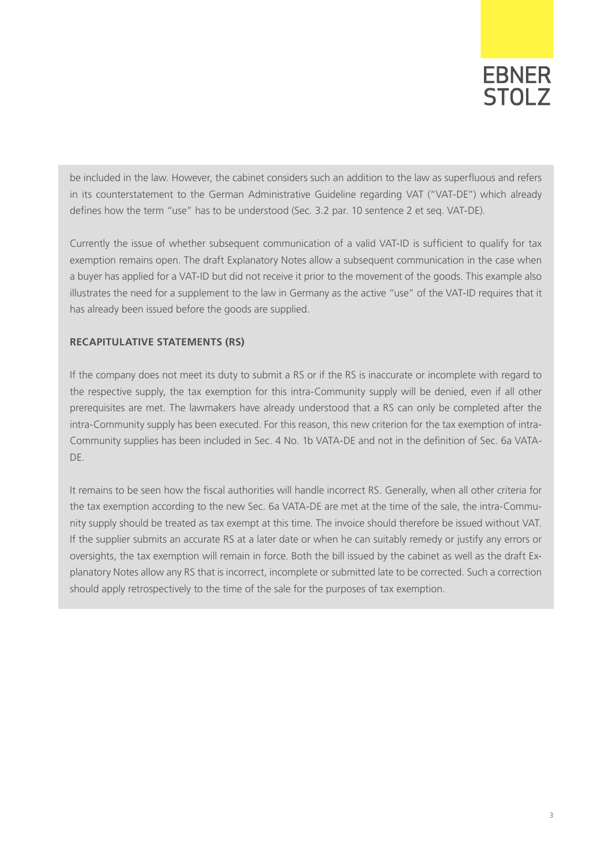# **EBNER** STOL<sub>7</sub>

be included in the law. However, the cabinet considers such an addition to the law as superfluous and refers in its counterstatement to the German Administrative Guideline regarding VAT ("VAT-DE") which already defines how the term "use" has to be understood (Sec. 3.2 par. 10 sentence 2 et seq. VAT-DE).

Currently the issue of whether subsequent communication of a valid VAT-ID is sufficient to qualify for tax exemption remains open. The draft Explanatory Notes allow a subsequent communication in the case when a buyer has applied for a VAT-ID but did not receive it prior to the movement of the goods. This example also illustrates the need for a supplement to the law in Germany as the active "use" of the VAT-ID requires that it has already been issued before the goods are supplied.

#### **RECAPITULATIVE STATEMENTS (RS)**

If the company does not meet its duty to submit a RS or if the RS is inaccurate or incomplete with regard to the respective supply, the tax exemption for this intra-Community supply will be denied, even if all other prerequisites are met. The lawmakers have already understood that a RS can only be completed after the intra-Community supply has been executed. For this reason, this new criterion for the tax exemption of intra-Community supplies has been included in Sec. 4 No. 1b VATA-DE and not in the definition of Sec. 6a VATA-DE.

It remains to be seen how the fiscal authorities will handle incorrect RS. Generally, when all other criteria for the tax exemption according to the new Sec. 6a VATA-DE are met at the time of the sale, the intra-Community supply should be treated as tax exempt at this time. The invoice should therefore be issued without VAT. If the supplier submits an accurate RS at a later date or when he can suitably remedy or justify any errors or oversights, the tax exemption will remain in force. Both the bill issued by the cabinet as well as the draft Explanatory Notes allow any RS that is incorrect, incomplete or submitted late to be corrected. Such a correction should apply retrospectively to the time of the sale for the purposes of tax exemption.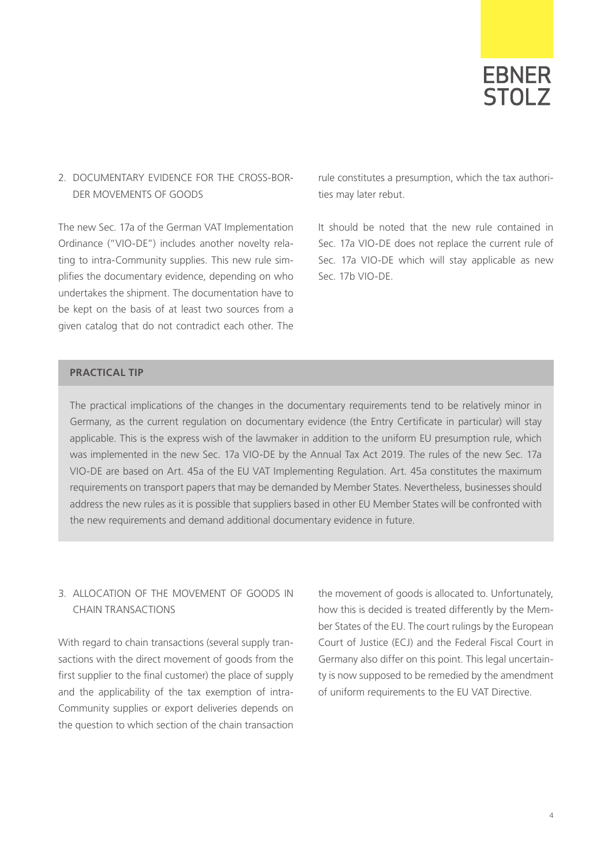

### 2. DOCUMENTARY EVIDENCE FOR THE CROSS-BOR-DER MOVEMENTS OF GOODS

The new Sec. 17a of the German VAT Implementation Ordinance ("VIO-DE") includes another novelty relating to intra-Community supplies. This new rule simplifies the documentary evidence, depending on who undertakes the shipment. The documentation have to be kept on the basis of at least two sources from a given catalog that do not contradict each other. The

rule constitutes a presumption, which the tax authorities may later rebut.

It should be noted that the new rule contained in Sec. 17a VIO-DE does not replace the current rule of Sec. 17a VIO-DE which will stay applicable as new Sec. 17b VIO-DE.

#### **PRACTICAL TIP**

The practical implications of the changes in the documentary requirements tend to be relatively minor in Germany, as the current regulation on documentary evidence (the Entry Certificate in particular) will stay applicable. This is the express wish of the lawmaker in addition to the uniform EU presumption rule, which was implemented in the new Sec. 17a VIO-DE by the Annual Tax Act 2019. The rules of the new Sec. 17a VIO-DE are based on Art. 45a of the EU VAT Implementing Regulation. Art. 45a constitutes the maximum requirements on transport papers that may be demanded by Member States. Nevertheless, businesses should address the new rules as it is possible that suppliers based in other EU Member States will be confronted with the new requirements and demand additional documentary evidence in future.

### 3. ALLOCATION OF THE MOVEMENT OF GOODS IN CHAIN TRANSACTIONS

With regard to chain transactions (several supply transactions with the direct movement of goods from the first supplier to the final customer) the place of supply and the applicability of the tax exemption of intra-Community supplies or export deliveries depends on the question to which section of the chain transaction

the movement of goods is allocated to. Unfortunately, how this is decided is treated differently by the Member States of the EU. The court rulings by the European Court of Justice (ECJ) and the Federal Fiscal Court in Germany also differ on this point. This legal uncertainty is now supposed to be remedied by the amendment of uniform requirements to the EU VAT Directive.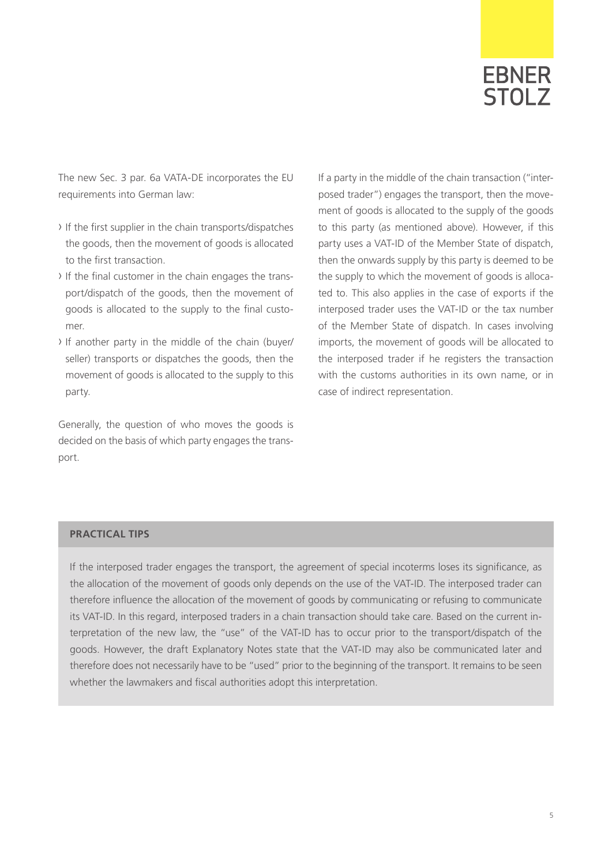

The new Sec. 3 par. 6a VATA-DE incorporates the EU requirements into German law:

- › If the first supplier in the chain transports/dispatches the goods, then the movement of goods is allocated to the first transaction.
- › If the final customer in the chain engages the transport/dispatch of the goods, then the movement of goods is allocated to the supply to the final customer.
- › If another party in the middle of the chain (buyer/ seller) transports or dispatches the goods, then the movement of goods is allocated to the supply to this party.

Generally, the question of who moves the goods is decided on the basis of which party engages the transport.

If a party in the middle of the chain transaction ("interposed trader") engages the transport, then the movement of goods is allocated to the supply of the goods to this party (as mentioned above). However, if this party uses a VAT-ID of the Member State of dispatch, then the onwards supply by this party is deemed to be the supply to which the movement of goods is allocated to. This also applies in the case of exports if the interposed trader uses the VAT-ID or the tax number of the Member State of dispatch. In cases involving imports, the movement of goods will be allocated to the interposed trader if he registers the transaction with the customs authorities in its own name, or in case of indirect representation.

#### **PRACTICAL TIPS**

If the interposed trader engages the transport, the agreement of special incoterms loses its significance, as the allocation of the movement of goods only depends on the use of the VAT-ID. The interposed trader can therefore influence the allocation of the movement of goods by communicating or refusing to communicate its VAT-ID. In this regard, interposed traders in a chain transaction should take care. Based on the current interpretation of the new law, the "use" of the VAT-ID has to occur prior to the transport/dispatch of the goods. However, the draft Explanatory Notes state that the VAT-ID may also be communicated later and therefore does not necessarily have to be "used" prior to the beginning of the transport. It remains to be seen whether the lawmakers and fiscal authorities adopt this interpretation.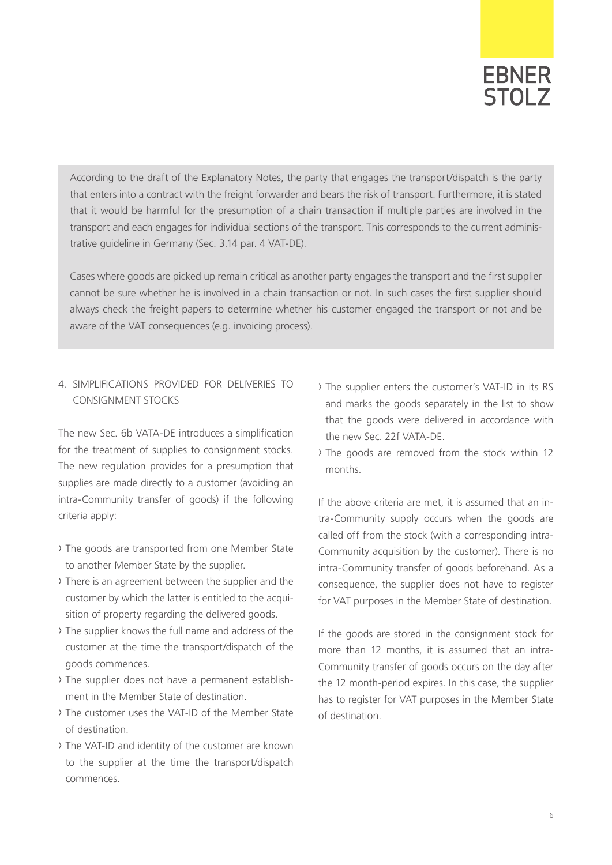# **EBNER** STOL<sub>7</sub>

According to the draft of the Explanatory Notes, the party that engages the transport/dispatch is the party that enters into a contract with the freight forwarder and bears the risk of transport. Furthermore, it is stated that it would be harmful for the presumption of a chain transaction if multiple parties are involved in the transport and each engages for individual sections of the transport. This corresponds to the current administrative guideline in Germany (Sec. 3.14 par. 4 VAT-DE).

Cases where goods are picked up remain critical as another party engages the transport and the first supplier cannot be sure whether he is involved in a chain transaction or not. In such cases the first supplier should always check the freight papers to determine whether his customer engaged the transport or not and be aware of the VAT consequences (e.g. invoicing process).

# 4. SIMPLIFICATIONS PROVIDED FOR DELIVERIES TO CONSIGNMENT STOCKS

The new Sec. 6b VATA-DE introduces a simplification for the treatment of supplies to consignment stocks. The new regulation provides for a presumption that supplies are made directly to a customer (avoiding an intra-Community transfer of goods) if the following criteria apply:

- › The goods are transported from one Member State to another Member State by the supplier.
- › There is an agreement between the supplier and the customer by which the latter is entitled to the acquisition of property regarding the delivered goods.
- › The supplier knows the full name and address of the customer at the time the transport/dispatch of the goods commences.
- › The supplier does not have a permanent establishment in the Member State of destination.
- › The customer uses the VAT-ID of the Member State of destination.
- › The VAT-ID and identity of the customer are known to the supplier at the time the transport/dispatch commences.
- › The supplier enters the customer's VAT-ID in its RS and marks the goods separately in the list to show that the goods were delivered in accordance with the new Sec. 22f VATA-DE.
- › The goods are removed from the stock within 12 months.

If the above criteria are met, it is assumed that an intra-Community supply occurs when the goods are called off from the stock (with a corresponding intra-Community acquisition by the customer). There is no intra-Community transfer of goods beforehand. As a consequence, the supplier does not have to register for VAT purposes in the Member State of destination.

If the goods are stored in the consignment stock for more than 12 months, it is assumed that an intra-Community transfer of goods occurs on the day after the 12 month-period expires. In this case, the supplier has to register for VAT purposes in the Member State of destination.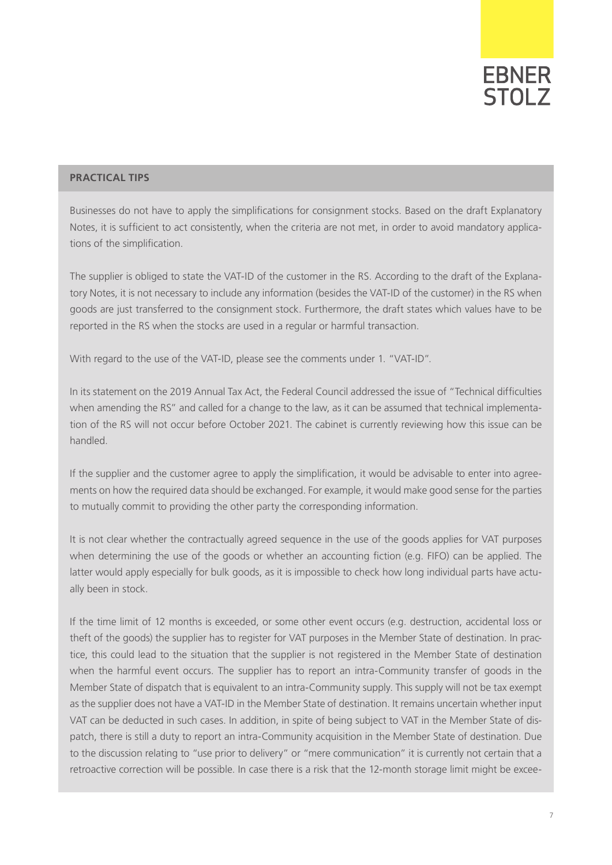# **EBNER** STOL<sub>7</sub>

#### **PRACTICAL TIPS**

Businesses do not have to apply the simplifications for consignment stocks. Based on the draft Explanatory Notes, it is sufficient to act consistently, when the criteria are not met, in order to avoid mandatory applications of the simplification.

The supplier is obliged to state the VAT-ID of the customer in the RS. According to the draft of the Explanatory Notes, it is not necessary to include any information (besides the VAT-ID of the customer) in the RS when goods are just transferred to the consignment stock. Furthermore, the draft states which values have to be reported in the RS when the stocks are used in a regular or harmful transaction.

With regard to the use of the VAT-ID, please see the comments under 1. "VAT-ID".

In its statement on the 2019 Annual Tax Act, the Federal Council addressed the issue of "Technical difficulties when amending the RS" and called for a change to the law, as it can be assumed that technical implementation of the RS will not occur before October 2021. The cabinet is currently reviewing how this issue can be handled.

If the supplier and the customer agree to apply the simplification, it would be advisable to enter into agreements on how the required data should be exchanged. For example, it would make good sense for the parties to mutually commit to providing the other party the corresponding information.

It is not clear whether the contractually agreed sequence in the use of the goods applies for VAT purposes when determining the use of the goods or whether an accounting fiction (e.g. FIFO) can be applied. The latter would apply especially for bulk goods, as it is impossible to check how long individual parts have actually been in stock.

If the time limit of 12 months is exceeded, or some other event occurs (e.g. destruction, accidental loss or theft of the goods) the supplier has to register for VAT purposes in the Member State of destination. In practice, this could lead to the situation that the supplier is not registered in the Member State of destination when the harmful event occurs. The supplier has to report an intra-Community transfer of goods in the Member State of dispatch that is equivalent to an intra-Community supply. This supply will not be tax exempt as the supplier does not have a VAT-ID in the Member State of destination. It remains uncertain whether input VAT can be deducted in such cases. In addition, in spite of being subject to VAT in the Member State of dispatch, there is still a duty to report an intra-Community acquisition in the Member State of destination. Due to the discussion relating to "use prior to delivery" or "mere communication" it is currently not certain that a retroactive correction will be possible. In case there is a risk that the 12-month storage limit might be excee-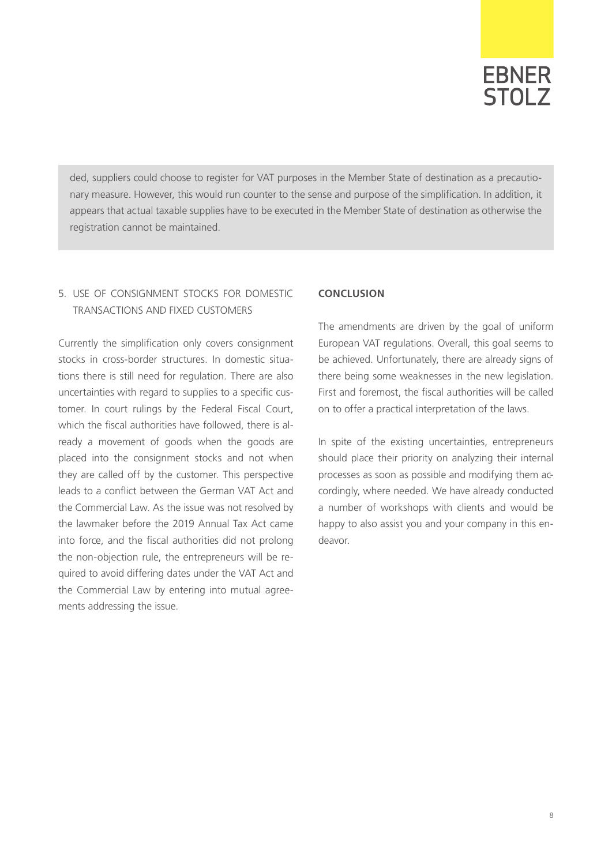

ded, suppliers could choose to register for VAT purposes in the Member State of destination as a precautionary measure. However, this would run counter to the sense and purpose of the simplification. In addition, it appears that actual taxable supplies have to be executed in the Member State of destination as otherwise the registration cannot be maintained.

# 5. USE OF CONSIGNMENT STOCKS FOR DOMESTIC TRANSACTIONS AND FIXED CUSTOMERS

Currently the simplification only covers consignment stocks in cross-border structures. In domestic situations there is still need for regulation. There are also uncertainties with regard to supplies to a specific customer. In court rulings by the Federal Fiscal Court, which the fiscal authorities have followed, there is already a movement of goods when the goods are placed into the consignment stocks and not when they are called off by the customer. This perspective leads to a conflict between the German VAT Act and the Commercial Law. As the issue was not resolved by the lawmaker before the 2019 Annual Tax Act came into force, and the fiscal authorities did not prolong the non-objection rule, the entrepreneurs will be required to avoid differing dates under the VAT Act and the Commercial Law by entering into mutual agreements addressing the issue.

### **CONCLUSION**

The amendments are driven by the goal of uniform European VAT regulations. Overall, this goal seems to be achieved. Unfortunately, there are already signs of there being some weaknesses in the new legislation. First and foremost, the fiscal authorities will be called on to offer a practical interpretation of the laws.

In spite of the existing uncertainties, entrepreneurs should place their priority on analyzing their internal processes as soon as possible and modifying them accordingly, where needed. We have already conducted a number of workshops with clients and would be happy to also assist you and your company in this endeavor.